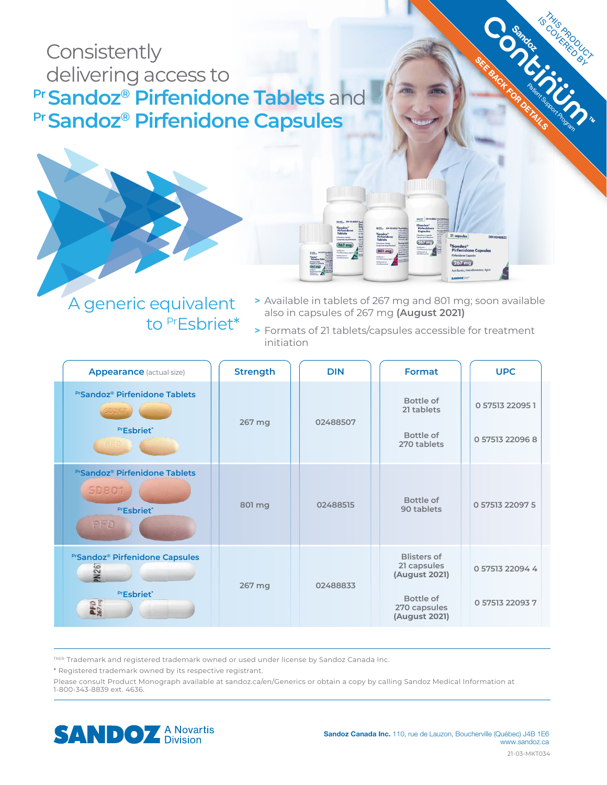# **Consistently**  delivering access to **Pr Sandoz® Pirfenidone Tablets and Pr Sandoz® Pirfenidone Capsules**

to PrEsbriet\*



**>** Available in tablets of 267 mg and 801 mg; soon available also in capsules of 267 mg **(August 2021)**

 $367m$ 

 $267$  mg

Sandoz<sup>e</sup><br>Pirfenidone Capsule  $267$  mg

**SEE BACK FOR DETAILS** 

**Sando** 

Is the PRODUCT

**>** Formats of 21 tablets/capsules accessible for treatment initiation

| <b>Appearance</b> (actual size)                                                 | <b>Strength</b> | <b>DIN</b> | <b>Format</b>                                                                                    | <b>UPC</b>                         |
|---------------------------------------------------------------------------------|-----------------|------------|--------------------------------------------------------------------------------------------------|------------------------------------|
| <b>PrSandoz<sup>®</sup> Pirfenidone Tablets</b><br>PrEsbriet*                   | 267 mg          | 02488507   | Bottle of<br>21 tablets<br>Bottle of<br>270 tablets                                              | 0 57513 22095 1<br>0 57513 22096 8 |
| <b>PrSandoz<sup>®</sup> Pirfenidone Tablets</b><br>SD801<br>PrEsbriet*<br>PFD   | 801 mg          | 02488515   | Bottle of<br>90 tablets                                                                          | 0 57513 22097 5                    |
| <b>PrSandoz® Pirfenidone Capsules</b><br>PN267<br>PrEsbriet*<br>$PFD$<br>267 mg | 267 mg          | 02488833   | <b>Blisters of</b><br>21 capsules<br>(August 2021)<br>Bottle of<br>270 capsules<br>(August 2021) | 0 57513 22094 4<br>0 57513 22093 7 |

TM/® Trademark and registered trademark owned or used under license by Sandoz Canada Inc.

\* Registered trademark owned by its respective registrant.

Please consult Product Monograph available at sandoz.ca/en/Generics or obtain a copy by calling Sandoz Medical Information at 1-800-343-8839 ext. 4636.